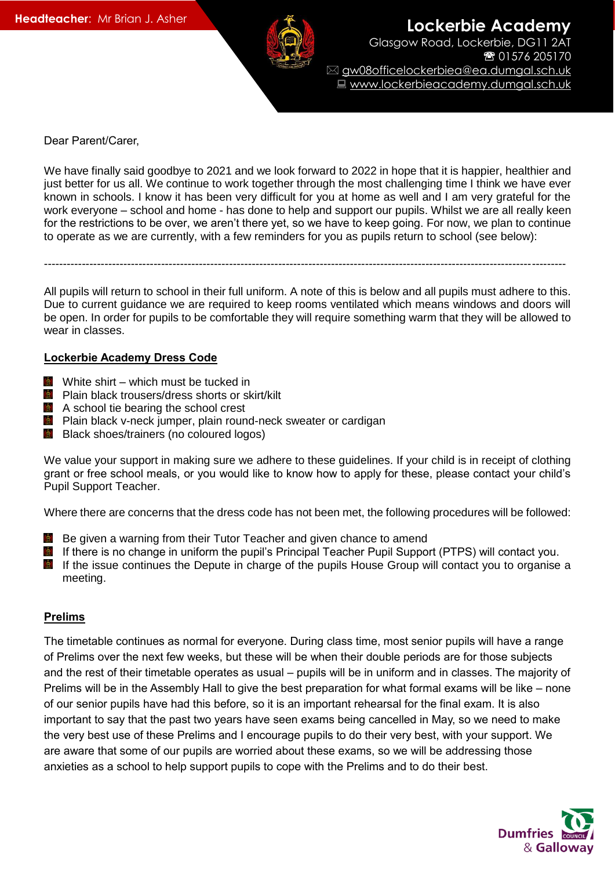

**Lockerbie Academy** Glasgow Road, Lockerbie, DG11 2AT ● 01576 205170 gw08officelockerbiea@ea.dumgal.sch.uk Www.lockerbieacademy.dumgal.sch.uk

Dear Parent/Carer,

We have finally said goodbye to 2021 and we look forward to 2022 in hope that it is happier, healthier and just better for us all. We continue to work together through the most challenging time I think we have ever known in schools. I know it has been very difficult for you at home as well and I am very grateful for the work everyone – school and home - has done to help and support our pupils. Whilst we are all really keen for the restrictions to be over, we aren't there yet, so we have to keep going. For now, we plan to continue to operate as we are currently, with a few reminders for you as pupils return to school (see below):

All pupils will return to school in their full uniform. A note of this is below and all pupils must adhere to this. Due to current guidance we are required to keep rooms ventilated which means windows and doors will be open. In order for pupils to be comfortable they will require something warm that they will be allowed to wear in classes.

------------------------------------------------------------------------------------------------------------------------------------------

### **Lockerbie Academy Dress Code**

- $\blacksquare$  White shirt which must be tucked in
- **Plain black trousers/dress shorts or skirt/kilt**
- **A** A school tie bearing the school crest
- **Plain black v-neck jumper, plain round-neck sweater or cardigan**
- **B** Black shoes/trainers (no coloured logos)

We value your support in making sure we adhere to these guidelines. If your child is in receipt of clothing grant or free school meals, or you would like to know how to apply for these, please contact your child's Pupil Support Teacher.

Where there are concerns that the dress code has not been met, the following procedures will be followed:

- $\mathbb{R}$ Be given a warning from their Tutor Teacher and given chance to amend
- $\langle \mathbf{Q} \rangle$ If there is no change in uniform the pupil's Principal Teacher Pupil Support (PTPS) will contact you.
- If the issue continues the Depute in charge of the pupils House Group will contact you to organise a meeting.

#### **Prelims**

The timetable continues as normal for everyone. During class time, most senior pupils will have a range of Prelims over the next few weeks, but these will be when their double periods are for those subjects and the rest of their timetable operates as usual – pupils will be in uniform and in classes. The majority of Prelims will be in the Assembly Hall to give the best preparation for what formal exams will be like – none of our senior pupils have had this before, so it is an important rehearsal for the final exam. It is also important to say that the past two years have seen exams being cancelled in May, so we need to make the very best use of these Prelims and I encourage pupils to do their very best, with your support. We are aware that some of our pupils are worried about these exams, so we will be addressing those anxieties as a school to help support pupils to cope with the Prelims and to do their best.